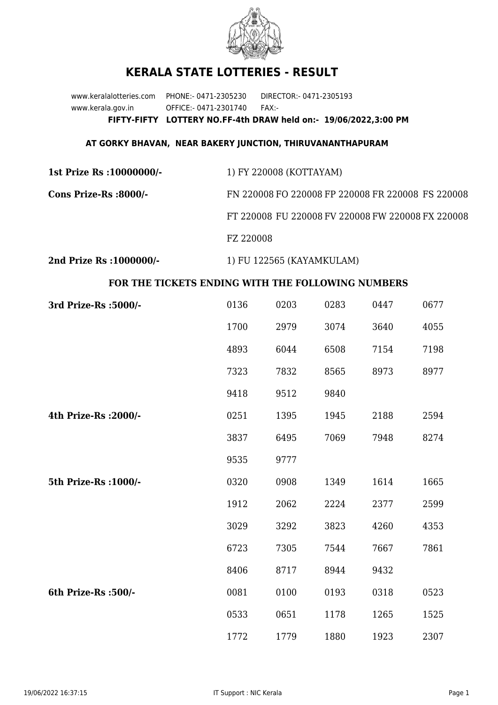

## **KERALA STATE LOTTERIES - RESULT**

www.keralalotteries.com PHONE:- 0471-2305230 DIRECTOR:- 0471-2305193 www.kerala.gov.in OFFICE:- 0471-2301740 FAX:- **FIFTY-FIFTY LOTTERY NO.FF-4th DRAW held on:- 19/06/2022,3:00 PM**

## **AT GORKY BHAVAN, NEAR BAKERY JUNCTION, THIRUVANANTHAPURAM**

| 1st Prize Rs : 10000000/- | 1) FY 220008 (KOTTAYAM)                           |
|---------------------------|---------------------------------------------------|
| Cons Prize-Rs :8000/-     | FN 220008 FO 220008 FP 220008 FR 220008 FS 220008 |
|                           | FT 220008 FU 220008 FV 220008 FW 220008 FX 220008 |
|                           | FZ 220008                                         |
| 2nd Prize Rs : 1000000/-  | 1) FU 122565 (KAYAMKULAM)                         |

## **FOR THE TICKETS ENDING WITH THE FOLLOWING NUMBERS**

| 3rd Prize-Rs : 5000/- | 0136 | 0203 | 0283 | 0447 | 0677 |
|-----------------------|------|------|------|------|------|
|                       | 1700 | 2979 | 3074 | 3640 | 4055 |
|                       | 4893 | 6044 | 6508 | 7154 | 7198 |
|                       | 7323 | 7832 | 8565 | 8973 | 8977 |
|                       | 9418 | 9512 | 9840 |      |      |
| 4th Prize-Rs : 2000/- | 0251 | 1395 | 1945 | 2188 | 2594 |
|                       | 3837 | 6495 | 7069 | 7948 | 8274 |
|                       | 9535 | 9777 |      |      |      |
| 5th Prize-Rs : 1000/- | 0320 | 0908 | 1349 | 1614 | 1665 |
|                       | 1912 | 2062 | 2224 | 2377 | 2599 |
|                       | 3029 | 3292 | 3823 | 4260 | 4353 |
|                       | 6723 | 7305 | 7544 | 7667 | 7861 |
|                       | 8406 | 8717 | 8944 | 9432 |      |
| 6th Prize-Rs :500/-   | 0081 | 0100 | 0193 | 0318 | 0523 |
|                       | 0533 | 0651 | 1178 | 1265 | 1525 |
|                       | 1772 | 1779 | 1880 | 1923 | 2307 |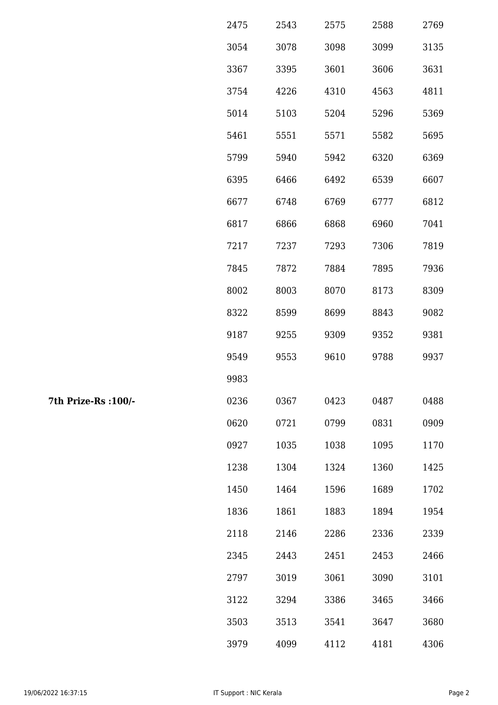| 2475 | 2543 | 2575 | 2588 | 2769 |
|------|------|------|------|------|
| 3054 | 3078 | 3098 | 3099 | 3135 |
| 3367 | 3395 | 3601 | 3606 | 3631 |
| 3754 | 4226 | 4310 | 4563 | 4811 |
| 5014 | 5103 | 5204 | 5296 | 5369 |
| 5461 | 5551 | 5571 | 5582 | 5695 |
| 5799 | 5940 | 5942 | 6320 | 6369 |
| 6395 | 6466 | 6492 | 6539 | 6607 |
| 6677 | 6748 | 6769 | 6777 | 6812 |
| 6817 | 6866 | 6868 | 6960 | 7041 |
| 7217 | 7237 | 7293 | 7306 | 7819 |
| 7845 | 7872 | 7884 | 7895 | 7936 |
| 8002 | 8003 | 8070 | 8173 | 8309 |
| 8322 | 8599 | 8699 | 8843 | 9082 |
| 9187 | 9255 | 9309 | 9352 | 9381 |
| 9549 | 9553 | 9610 | 9788 | 9937 |
| 9983 |      |      |      |      |
| 0236 | 0367 | 0423 | 0487 | 0488 |
| 0620 | 0721 | 0799 | 0831 | 0909 |
| 0927 | 1035 | 1038 | 1095 | 1170 |
| 1238 | 1304 | 1324 | 1360 | 1425 |
| 1450 | 1464 | 1596 | 1689 | 1702 |
| 1836 | 1861 | 1883 | 1894 | 1954 |
| 2118 | 2146 | 2286 | 2336 | 2339 |
| 2345 | 2443 | 2451 | 2453 | 2466 |
| 2797 | 3019 | 3061 | 3090 | 3101 |
| 3122 | 3294 | 3386 | 3465 | 3466 |
| 3503 | 3513 | 3541 | 3647 | 3680 |
| 3979 | 4099 | 4112 | 4181 | 4306 |

7th Prize-Rs : 100/-